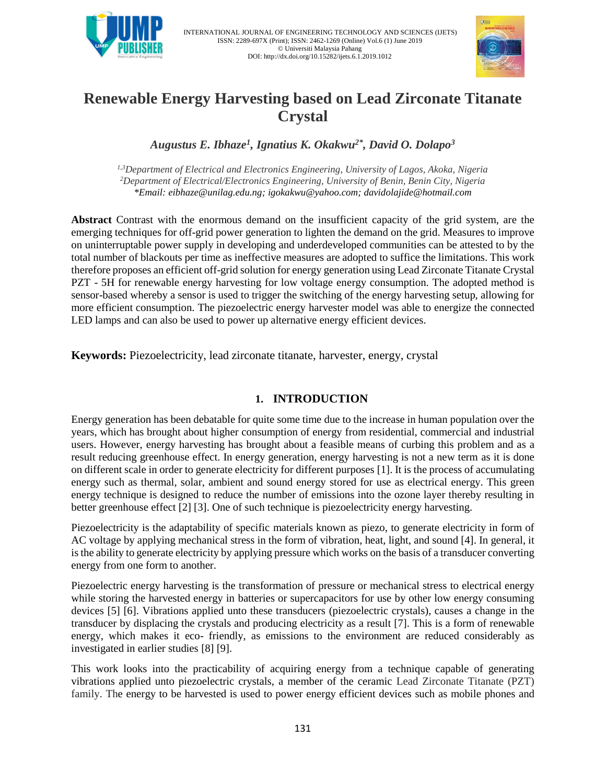

INTERNATIONAL JOURNAL OF ENGINEERING TECHNOLOGY AND SCIENCES (IJETS) ISSN: 2289-697X (Print); ISSN: 2462-1269 (Online) Vol.6 (1) June 2019 © Universiti Malaysia Pahang DOI: http://dx.doi.org/10.15282/ijets.6.1.2019.1012



# **Renewable Energy Harvesting based on Lead Zirconate Titanate Crystal**

*Augustus E. Ibhaze<sup>1</sup> , Ignatius K. Okakwu2\*, David O. Dolapo<sup>3</sup>*

*1,3Department of Electrical and Electronics Engineering, University of Lagos, Akoka, Nigeria <sup>2</sup>Department of Electrical/Electronics Engineering, University of Benin, Benin City, Nigeria \*Email: [eibhaze@unilag.edu.ng;](mailto:eibhaze@unilag.edu.ng) igokakwu@yahoo.com; davidolajide@hotmail.com*

**Abstract** Contrast with the enormous demand on the insufficient capacity of the grid system, are the emerging techniques for off-grid power generation to lighten the demand on the grid. Measures to improve on uninterruptable power supply in developing and underdeveloped communities can be attested to by the total number of blackouts per time as ineffective measures are adopted to suffice the limitations. This work therefore proposes an efficient off-grid solution for energy generation using Lead Zirconate Titanate Crystal PZT - 5H for renewable energy harvesting for low voltage energy consumption. The adopted method is sensor-based whereby a sensor is used to trigger the switching of the energy harvesting setup, allowing for more efficient consumption. The piezoelectric energy harvester model was able to energize the connected LED lamps and can also be used to power up alternative energy efficient devices.

**Keywords:** Piezoelectricity, lead zirconate titanate, harvester, energy, crystal

## **1. INTRODUCTION**

Energy generation has been debatable for quite some time due to the increase in human population over the years, which has brought about higher consumption of energy from residential, commercial and industrial users. However, energy harvesting has brought about a feasible means of curbing this problem and as a result reducing greenhouse effect. In energy generation, energy harvesting is not a new term as it is done on different scale in order to generate electricity for different purposes [1]. It is the process of accumulating energy such as thermal, solar, ambient and sound energy stored for use as electrical energy. This green energy technique is designed to reduce the number of emissions into the ozone layer thereby resulting in better greenhouse effect [2] [3]. One of such technique is piezoelectricity energy harvesting.

Piezoelectricity is the adaptability of specific materials known as piezo, to generate electricity in form of AC voltage by applying mechanical stress in the form of vibration, heat, light, and sound [4]. In general, it is the ability to generate electricity by applying pressure which works on the basis of a transducer converting energy from one form to another.

Piezoelectric energy harvesting is the transformation of pressure or mechanical stress to electrical energy while storing the harvested energy in batteries or supercapacitors for use by other low energy consuming devices [5] [6]. Vibrations applied unto these transducers (piezoelectric crystals), causes a change in the transducer by displacing the crystals and producing electricity as a result [7]. This is a form of renewable energy, which makes it eco- friendly, as emissions to the environment are reduced considerably as investigated in earlier studies [8] [9].

This work looks into the practicability of acquiring energy from a technique capable of generating vibrations applied unto piezoelectric crystals, a member of the ceramic Lead Zirconate Titanate (PZT) family. The energy to be harvested is used to power energy efficient devices such as mobile phones and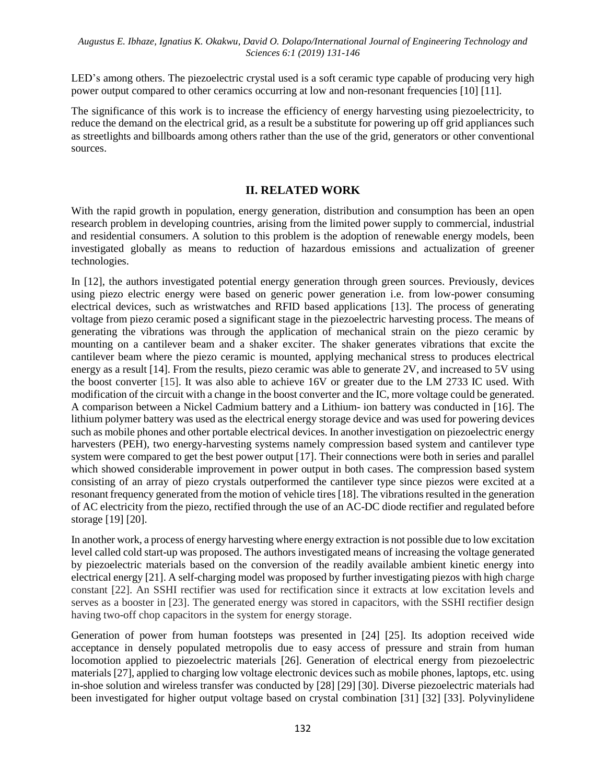LED's among others. The piezoelectric crystal used is a soft ceramic type capable of producing very high power output compared to other ceramics occurring at low and non-resonant frequencies [10] [11].

The significance of this work is to increase the efficiency of energy harvesting using piezoelectricity, to reduce the demand on the electrical grid, as a result be a substitute for powering up off grid appliances such as streetlights and billboards among others rather than the use of the grid, generators or other conventional sources.

## **II. RELATED WORK**

With the rapid growth in population, energy generation, distribution and consumption has been an open research problem in developing countries, arising from the limited power supply to commercial, industrial and residential consumers. A solution to this problem is the adoption of renewable energy models, been investigated globally as means to reduction of hazardous emissions and actualization of greener technologies.

In [12], the authors investigated potential energy generation through green sources. Previously, devices using piezo electric energy were based on generic power generation i.e. from low-power consuming electrical devices, such as wristwatches and RFID based applications [13]. The process of generating voltage from piezo ceramic posed a significant stage in the piezoelectric harvesting process. The means of generating the vibrations was through the application of mechanical strain on the piezo ceramic by mounting on a cantilever beam and a shaker exciter. The shaker generates vibrations that excite the cantilever beam where the piezo ceramic is mounted, applying mechanical stress to produces electrical energy as a result [14]. From the results, piezo ceramic was able to generate 2V, and increased to 5V using the boost converter [15]. It was also able to achieve 16V or greater due to the LM 2733 IC used. With modification of the circuit with a change in the boost converter and the IC, more voltage could be generated. A comparison between a Nickel Cadmium battery and a Lithium- ion battery was conducted in [16]. The lithium polymer battery was used as the electrical energy storage device and was used for powering devices such as mobile phones and other portable electrical devices. In another investigation on piezoelectric energy harvesters (PEH), two energy-harvesting systems namely compression based system and cantilever type system were compared to get the best power output [17]. Their connections were both in series and parallel which showed considerable improvement in power output in both cases. The compression based system consisting of an array of piezo crystals outperformed the cantilever type since piezos were excited at a resonant frequency generated from the motion of vehicle tires [18]. The vibrations resulted in the generation of AC electricity from the piezo, rectified through the use of an AC-DC diode rectifier and regulated before storage [19] [20].

In another work, a process of energy harvesting where energy extraction is not possible due to low excitation level called cold start-up was proposed. The authors investigated means of increasing the voltage generated by piezoelectric materials based on the conversion of the readily available ambient kinetic energy into electrical energy [21]. A self-charging model was proposed by further investigating piezos with high charge constant [22]. An SSHI rectifier was used for rectification since it extracts at low excitation levels and serves as a booster in [23]. The generated energy was stored in capacitors, with the SSHI rectifier design having two-off chop capacitors in the system for energy storage.

Generation of power from human footsteps was presented in [24] [25]. Its adoption received wide acceptance in densely populated metropolis due to easy access of pressure and strain from human locomotion applied to piezoelectric materials [26]. Generation of electrical energy from piezoelectric materials [27], applied to charging low voltage electronic devices such as mobile phones, laptops, etc. using in-shoe solution and wireless transfer was conducted by [28] [29] [30]. Diverse piezoelectric materials had been investigated for higher output voltage based on crystal combination [31] [32] [33]. Polyvinylidene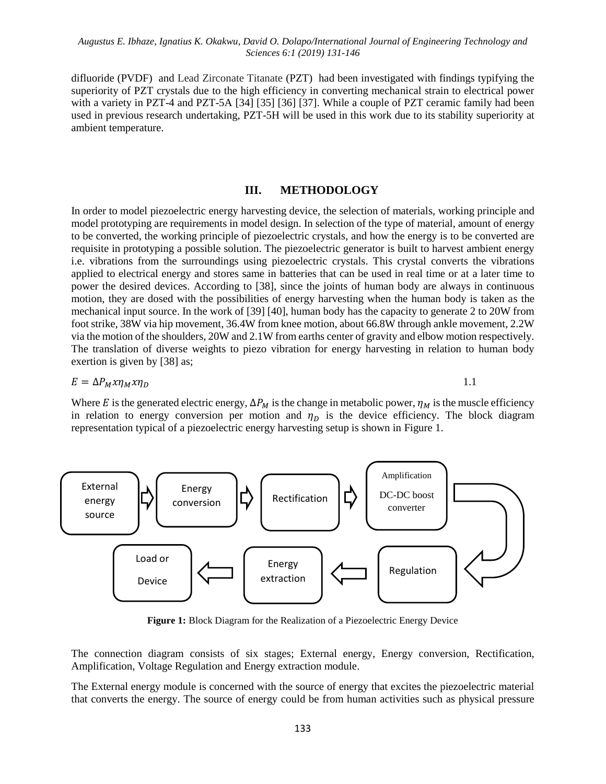difluoride (PVDF) and Lead Zirconate Titanate (PZT) had been investigated with findings typifying the superiority of PZT crystals due to the high efficiency in converting mechanical strain to electrical power with a variety in PZT-4 and PZT-5A [34] [35] [36] [37]. While a couple of PZT ceramic family had been used in previous research undertaking, PZT-5H will be used in this work due to its stability superiority at ambient temperature.

## **III. METHODOLOGY**

In order to model piezoelectric energy harvesting device, the selection of materials, working principle and model prototyping are requirements in model design. In selection of the type of material, amount of energy to be converted, the working principle of piezoelectric crystals, and how the energy is to be converted are requisite in prototyping a possible solution. The piezoelectric generator is built to harvest ambient energy i.e. vibrations from the surroundings using piezoelectric crystals. This crystal converts the vibrations applied to electrical energy and stores same in batteries that can be used in real time or at a later time to power the desired devices. According to [38], since the joints of human body are always in continuous motion, they are dosed with the possibilities of energy harvesting when the human body is taken as the mechanical input source. In the work of [39] [40], human body has the capacity to generate 2 to 20W from foot strike, 38W via hip movement, 36.4W from knee motion, about 66.8W through ankle movement, 2.2W via the motion of the shoulders, 20W and 2.1W from earths center of gravity and elbow motion respectively. The translation of diverse weights to piezo vibration for energy harvesting in relation to human body exertion is given by [38] as;

$$
E = \Delta P_M x \eta_M x \eta_D \tag{1.1}
$$

Where E is the generated electric energy,  $\Delta P_M$  is the change in metabolic power,  $\eta_M$  is the muscle efficiency in relation to energy conversion per motion and  $\eta_D$  is the device efficiency. The block diagram representation typical of a piezoelectric energy harvesting setup is shown in Figure 1.



**Figure 1:** Block Diagram for the Realization of a Piezoelectric Energy Device

The connection diagram consists of six stages; External energy, Energy conversion, Rectification, Amplification, Voltage Regulation and Energy extraction module.

The External energy module is concerned with the source of energy that excites the piezoelectric material that converts the energy. The source of energy could be from human activities such as physical pressure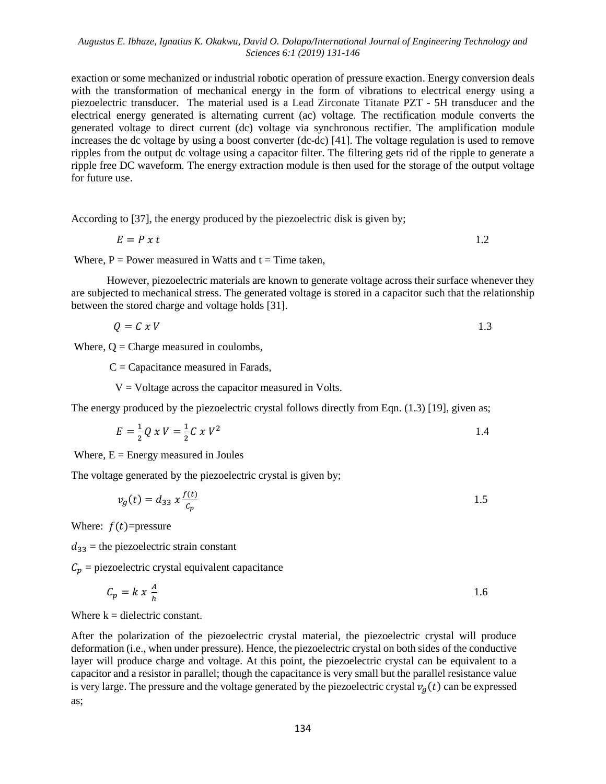exaction or some mechanized or industrial robotic operation of pressure exaction. Energy conversion deals with the transformation of mechanical energy in the form of vibrations to electrical energy using a piezoelectric transducer. The material used is a Lead Zirconate Titanate PZT - 5H transducer and the electrical energy generated is alternating current (ac) voltage. The rectification module converts the generated voltage to direct current (dc) voltage via synchronous rectifier. The amplification module increases the dc voltage by using a boost converter (dc-dc) [41]. The voltage regulation is used to remove ripples from the output dc voltage using a capacitor filter. The filtering gets rid of the ripple to generate a ripple free DC waveform. The energy extraction module is then used for the storage of the output voltage for future use.

According to [37], the energy produced by the piezoelectric disk is given by;

$$
E = P \times t \tag{1.2}
$$

Where,  $P = Power$  measured in Watts and  $t = Time$  taken,

However, piezoelectric materials are known to generate voltage across their surface whenever they are subjected to mechanical stress. The generated voltage is stored in a capacitor such that the relationship between the stored charge and voltage holds [31].

$$
Q = C x V \tag{1.3}
$$

Where,  $Q =$  Charge measured in coulombs,

 $C =$ Capacitance measured in Farads,

 $V = Vol$  across the capacitor measured in Volts.

The energy produced by the piezoelectric crystal follows directly from Eqn. (1.3) [19], given as;

$$
E = \frac{1}{2}Q \times V = \frac{1}{2}C \times V^2
$$

Where,  $E =$  Energy measured in Joules

The voltage generated by the piezoelectric crystal is given by;

$$
v_g(t) = d_{33} x \frac{f(t)}{c_p} \tag{1.5}
$$

Where:  $f(t)$ =pressure

 $d_{33}$  = the piezoelectric strain constant

 $C_p$  = piezoelectric crystal equivalent capacitance

$$
C_p = k \times \frac{A}{h} \tag{1.6}
$$

Where  $k =$  dielectric constant.

After the polarization of the piezoelectric crystal material, the piezoelectric crystal will produce deformation (i.e., when under pressure). Hence, the piezoelectric crystal on both sides of the conductive layer will produce charge and voltage. At this point, the piezoelectric crystal can be equivalent to a capacitor and a resistor in parallel; though the capacitance is very small but the parallel resistance value is very large. The pressure and the voltage generated by the piezoelectric crystal  $v<sub>g</sub>(t)$  can be expressed as;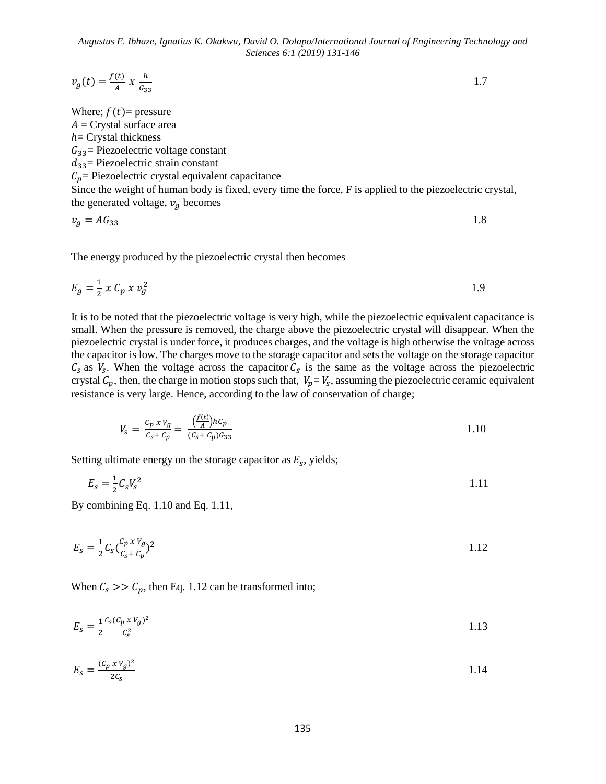$$
v_g(t) = \frac{f(t)}{A} x \frac{h}{G_{33}}
$$

Where;  $f(t)$ = pressure  $A =$  Crystal surface area  $h$ = Crystal thickness  $G_{33}$ = Piezoelectric voltage constant  $d_{33}$ = Piezoelectric strain constant  $C_p$  = Piezoelectric crystal equivalent capacitance Since the weight of human body is fixed, every time the force, F is applied to the piezoelectric crystal, the generated voltage,  $v_q$  becomes

$$
v_g = AG_{33} \tag{1.8}
$$

The energy produced by the piezoelectric crystal then becomes

$$
E_g = \frac{1}{2} \times C_p \times v_g^2 \tag{1.9}
$$

It is to be noted that the piezoelectric voltage is very high, while the piezoelectric equivalent capacitance is small. When the pressure is removed, the charge above the piezoelectric crystal will disappear. When the piezoelectric crystal is under force, it produces charges, and the voltage is high otherwise the voltage across the capacitor is low. The charges move to the storage capacitor and sets the voltage on the storage capacitor  $C_s$  as  $V_s$ . When the voltage across the capacitor  $C_s$  is the same as the voltage across the piezoelectric crystal  $C_p$ , then, the charge in motion stops such that,  $V_p = V_s$ , assuming the piezoelectric ceramic equivalent resistance is very large. Hence, according to the law of conservation of charge;

$$
V_s = \frac{c_p \times v_g}{c_s + c_p} = \frac{\left(\frac{f(t)}{A}\right)h c_p}{\left(c_s + c_p\right)c_{33}} \tag{1.10}
$$

Setting ultimate energy on the storage capacitor as  $E_s$ , yields;

$$
E_s = \frac{1}{2} C_s V_s^2
$$

By combining Eq. 1.10 and Eq. 1.11,

$$
E_s = \frac{1}{2} C_s \left( \frac{c_p \, x \, V_g}{c_s + c_p} \right)^2 \tag{1.12}
$$

When  $C_s$  >>  $C_p$ , then Eq. 1.12 can be transformed into;

$$
E_s = \frac{1}{2} \frac{c_s (c_p \times v_g)^2}{c_s^2} \tag{1.13}
$$

$$
E_s = \frac{(c_p \times v_g)^2}{2c_s} \tag{1.14}
$$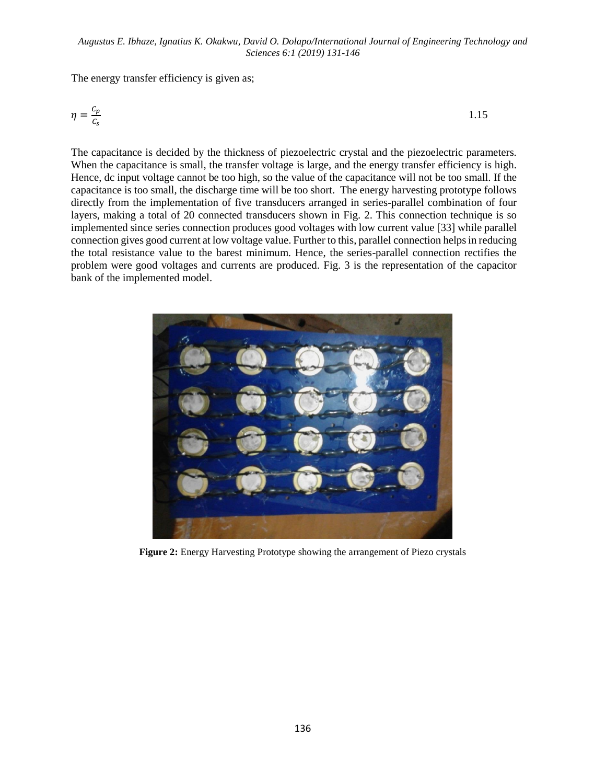The energy transfer efficiency is given as;

$$
\eta = \frac{c_p}{c_s} \tag{1.15}
$$

The capacitance is decided by the thickness of piezoelectric crystal and the piezoelectric parameters. When the capacitance is small, the transfer voltage is large, and the energy transfer efficiency is high. Hence, dc input voltage cannot be too high, so the value of the capacitance will not be too small. If the capacitance is too small, the discharge time will be too short. The energy harvesting prototype follows directly from the implementation of five transducers arranged in series-parallel combination of four layers, making a total of 20 connected transducers shown in Fig. 2. This connection technique is so implemented since series connection produces good voltages with low current value [33] while parallel connection gives good current at low voltage value. Further to this, parallel connection helps in reducing the total resistance value to the barest minimum. Hence, the series-parallel connection rectifies the problem were good voltages and currents are produced. Fig. 3 is the representation of the capacitor bank of the implemented model.



**Figure 2:** Energy Harvesting Prototype showing the arrangement of Piezo crystals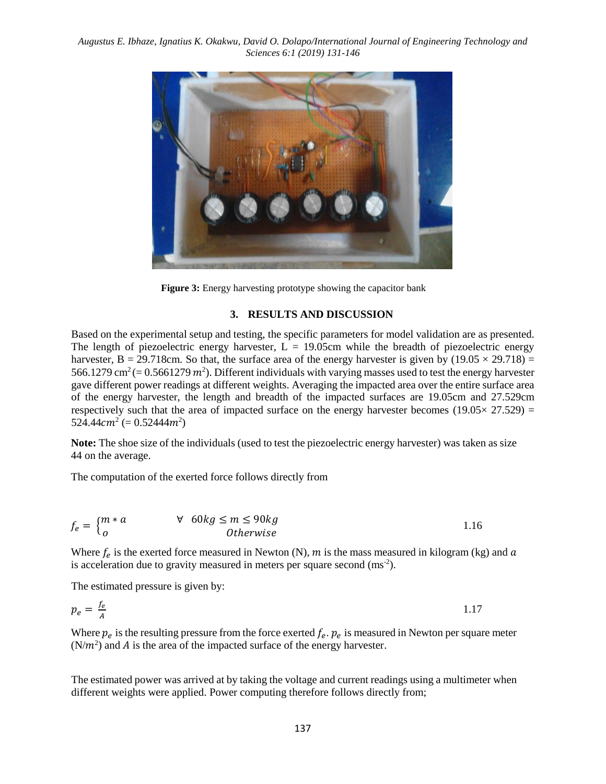

**Figure 3:** Energy harvesting prototype showing the capacitor bank

#### **3. RESULTS AND DISCUSSION**

Based on the experimental setup and testing, the specific parameters for model validation are as presented. The length of piezoelectric energy harvester,  $L = 19.05$ cm while the breadth of piezoelectric energy harvester, B = 29.718cm. So that, the surface area of the energy harvester is given by  $(19.05 \times 29.718)$  = 566.1279 cm<sup>2</sup> (= 0.5661279  $m^2$ ). Different individuals with varying masses used to test the energy harvester gave different power readings at different weights. Averaging the impacted area over the entire surface area of the energy harvester, the length and breadth of the impacted surfaces are 19.05cm and 27.529cm respectively such that the area of impacted surface on the energy harvester becomes ( $19.05 \times 27.529$ ) = 524.44 $cm^2$  (= 0.52444 $m^2$ )

**Note:** The shoe size of the individuals (used to test the piezoelectric energy harvester) was taken as size 44 on the average.

The computation of the exerted force follows directly from

$$
f_e = \begin{cases} m*a & \forall 60kg \le m \le 90kg \\ 0 & \text{Otherwise} \end{cases}
$$
 1.16

Where  $f_e$  is the exerted force measured in Newton (N), m is the mass measured in kilogram (kg) and a is acceleration due to gravity measured in meters per square second  $\text{(ms}^2)$ .

The estimated pressure is given by:

$$
p_e = \frac{f_e}{A} \tag{1.17}
$$

Where  $p_e$  is the resulting pressure from the force exerted  $f_e$ .  $p_e$  is measured in Newton per square meter  $(N/m<sup>2</sup>)$  and A is the area of the impacted surface of the energy harvester.

The estimated power was arrived at by taking the voltage and current readings using a multimeter when different weights were applied. Power computing therefore follows directly from;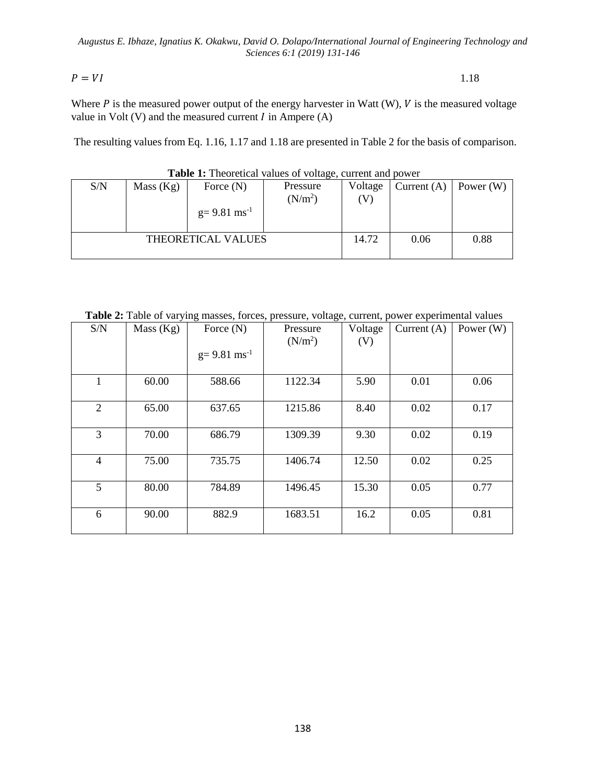$P = VI$  1.18

Where  $P$  is the measured power output of the energy harvester in Watt (W),  $V$  is the measured voltage value in Volt  $(V)$  and the measured current  $I$  in Ampere  $(A)$ 

The resulting values from Eq. 1.16, 1.17 and 1.18 are presented in Table 2 for the basis of comparison.

| S/N                | Mass (Kg) | Force $(N)$<br>$g=9.81$ ms <sup>-1</sup> | Pressure<br>(N/m <sup>2</sup> ) | Voltage<br>(V) | Current $(A)$ | Power (W) |
|--------------------|-----------|------------------------------------------|---------------------------------|----------------|---------------|-----------|
| THEORETICAL VALUES |           |                                          |                                 |                | 0.06          | 0.88      |

### **Table 1:** Theoretical values of voltage, current and power

**Table 2:** Table of varying masses, forces, pressure, voltage, current, power experimental values

| S/N            | Mass (Kg) | Force $(N)$<br>$g=9.81$ ms <sup>-1</sup> | Pressure<br>(N/m <sup>2</sup> ) | Voltage<br>(V) | Current $(A)$ | Power $(W)$ |
|----------------|-----------|------------------------------------------|---------------------------------|----------------|---------------|-------------|
| 1              | 60.00     | 588.66                                   | 1122.34                         | 5.90           | 0.01          | 0.06        |
| 2              | 65.00     | 637.65                                   | 1215.86                         | 8.40           | 0.02          | 0.17        |
| 3              | 70.00     | 686.79                                   | 1309.39                         | 9.30           | 0.02          | 0.19        |
| $\overline{4}$ | 75.00     | 735.75                                   | 1406.74                         | 12.50          | 0.02          | 0.25        |
| 5              | 80.00     | 784.89                                   | 1496.45                         | 15.30          | 0.05          | 0.77        |
| 6              | 90.00     | 882.9                                    | 1683.51                         | 16.2           | 0.05          | 0.81        |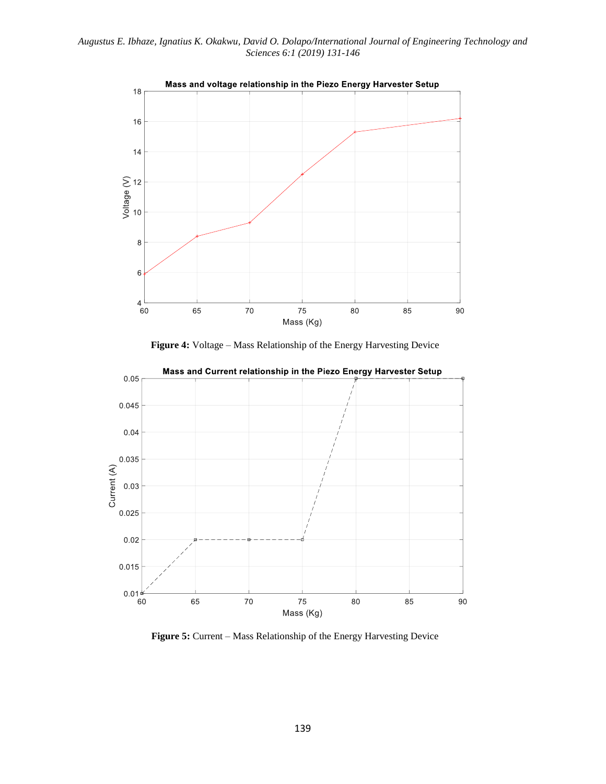

**Figure 4:** Voltage – Mass Relationship of the Energy Harvesting Device



Mass and Current relationship in the Piezo Energy Harvester Setup

**Figure 5:** Current – Mass Relationship of the Energy Harvesting Device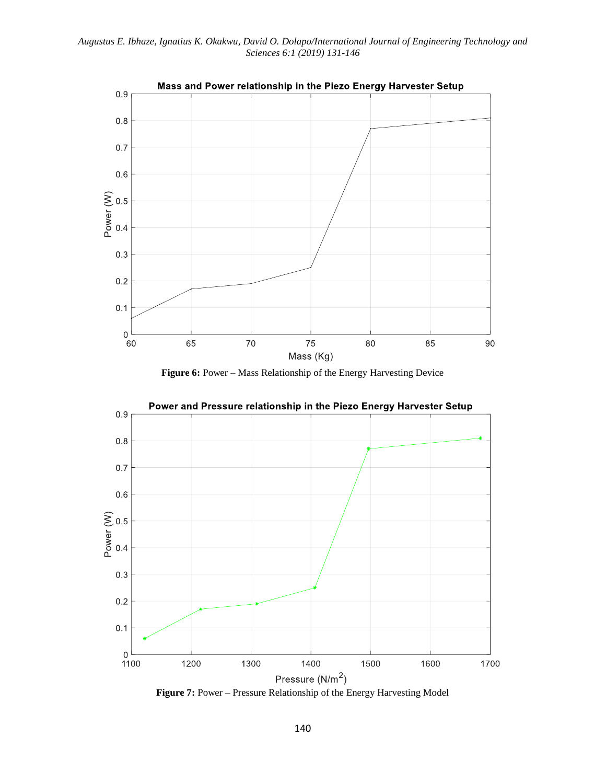





Power and Pressure relationship in the Piezo Energy Harvester Setup

**Figure 7:** Power – Pressure Relationship of the Energy Harvesting Model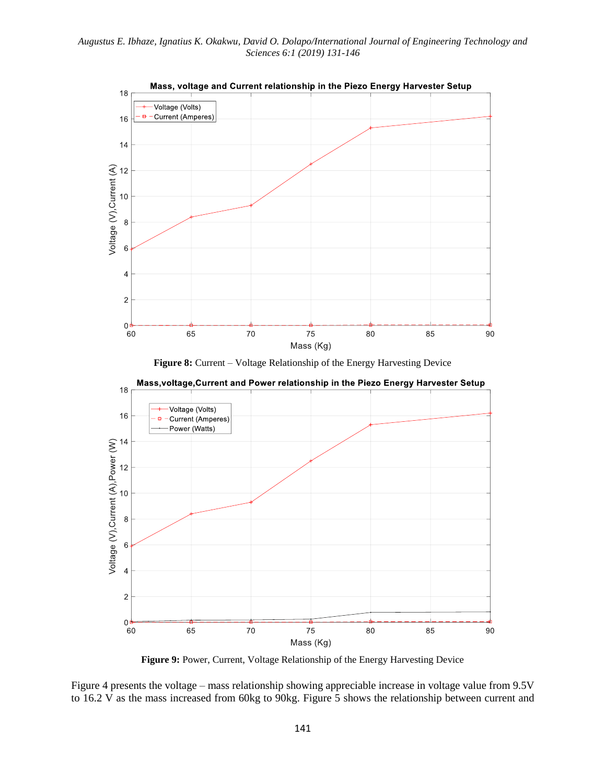

**Figure 8:** Current – Voltage Relationship of the Energy Harvesting Device



**Figure 9:** Power, Current, Voltage Relationship of the Energy Harvesting Device

Figure 4 presents the voltage – mass relationship showing appreciable increase in voltage value from 9.5V to 16.2 V as the mass increased from 60kg to 90kg. Figure 5 shows the relationship between current and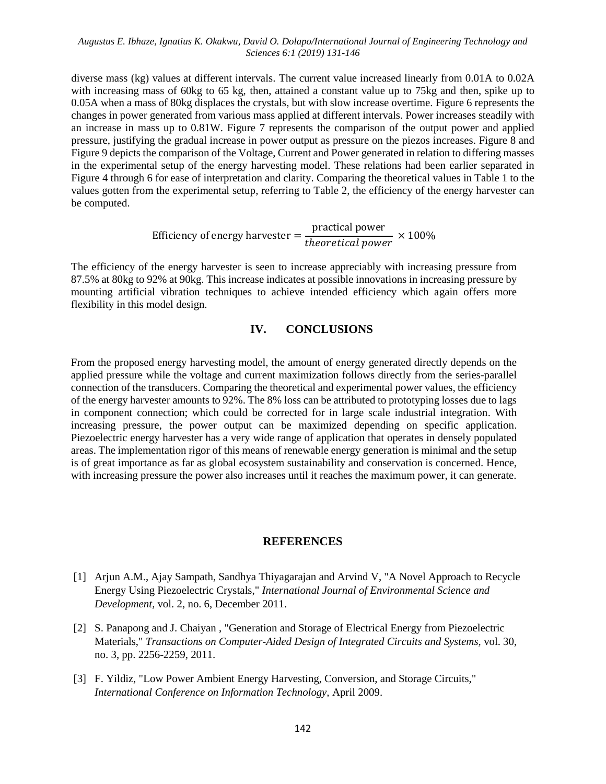diverse mass (kg) values at different intervals. The current value increased linearly from 0.01A to 0.02A with increasing mass of 60kg to 65 kg, then, attained a constant value up to 75kg and then, spike up to 0.05A when a mass of 80kg displaces the crystals, but with slow increase overtime. Figure 6 represents the changes in power generated from various mass applied at different intervals. Power increases steadily with an increase in mass up to 0.81W. Figure 7 represents the comparison of the output power and applied pressure, justifying the gradual increase in power output as pressure on the piezos increases. Figure 8 and Figure 9 depicts the comparison of the Voltage, Current and Power generated in relation to differing masses in the experimental setup of the energy harvesting model. These relations had been earlier separated in Figure 4 through 6 for ease of interpretation and clarity. Comparing the theoretical values in Table 1 to the values gotten from the experimental setup, referring to Table 2, the efficiency of the energy harvester can be computed.

> Efficiency of energy harvester  $=$ practical power  $\frac{1}{2}$  theoretical power  $\times 100\%$

The efficiency of the energy harvester is seen to increase appreciably with increasing pressure from 87.5% at 80kg to 92% at 90kg. This increase indicates at possible innovations in increasing pressure by mounting artificial vibration techniques to achieve intended efficiency which again offers more flexibility in this model design.

## **IV. CONCLUSIONS**

From the proposed energy harvesting model, the amount of energy generated directly depends on the applied pressure while the voltage and current maximization follows directly from the series-parallel connection of the transducers. Comparing the theoretical and experimental power values, the efficiency of the energy harvester amounts to 92%. The 8% loss can be attributed to prototyping losses due to lags in component connection; which could be corrected for in large scale industrial integration. With increasing pressure, the power output can be maximized depending on specific application. Piezoelectric energy harvester has a very wide range of application that operates in densely populated areas. The implementation rigor of this means of renewable energy generation is minimal and the setup is of great importance as far as global ecosystem sustainability and conservation is concerned. Hence, with increasing pressure the power also increases until it reaches the maximum power, it can generate.

## **REFERENCES**

- [1] Arjun A.M., Ajay Sampath, Sandhya Thiyagarajan and Arvind V, "A Novel Approach to Recycle Energy Using Piezoelectric Crystals," *International Journal of Environmental Science and Development,* vol. 2, no. 6, December 2011.
- [2] S. Panapong and J. Chaiyan , "Generation and Storage of Electrical Energy from Piezoelectric Materials," *Transactions on Computer-Aided Design of Integrated Circuits and Systems,* vol. 30, no. 3, pp. 2256-2259, 2011.
- [3] F. Yildiz, "Low Power Ambient Energy Harvesting, Conversion, and Storage Circuits," *International Conference on Information Technology,* April 2009.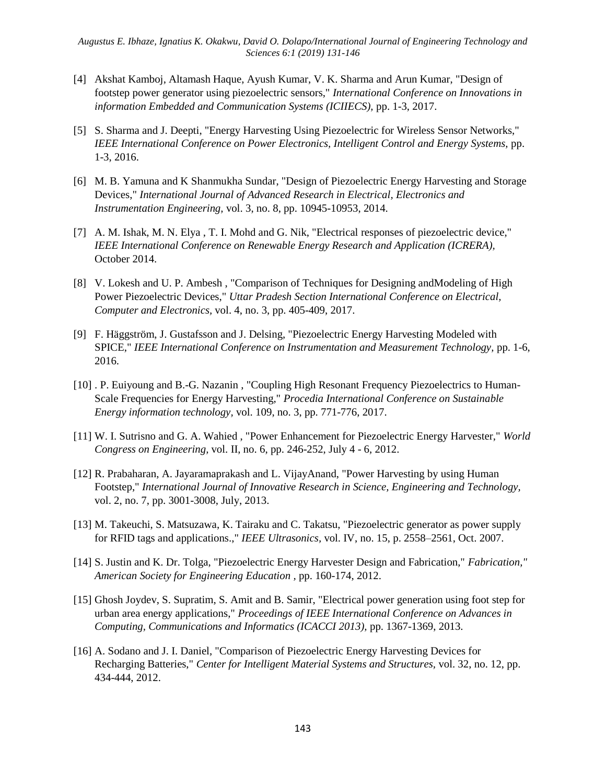- [4] Akshat Kamboj, Altamash Haque, Ayush Kumar, V. K. Sharma and Arun Kumar, "Design of footstep power generator using piezoelectric sensors," *International Conference on Innovations in information Embedded and Communication Systems (ICIIECS),* pp. 1-3, 2017.
- [5] S. Sharma and J. Deepti, "Energy Harvesting Using Piezoelectric for Wireless Sensor Networks," *IEEE International Conference on Power Electronics, Intelligent Control and Energy Systems, pp.* 1-3, 2016.
- [6] M. B. Yamuna and K Shanmukha Sundar, "Design of Piezoelectric Energy Harvesting and Storage Devices," *International Journal of Advanced Research in Electrical, Electronics and Instrumentation Engineering,* vol. 3, no. 8, pp. 10945-10953, 2014.
- [7] A. M. Ishak, M. N. Elya , T. I. Mohd and G. Nik, "Electrical responses of piezoelectric device," *IEEE International Conference on Renewable Energy Research and Application (ICRERA),*  October 2014.
- [8] V. Lokesh and U. P. Ambesh , "Comparison of Techniques for Designing andModeling of High Power Piezoelectric Devices," *Uttar Pradesh Section International Conference on Electrical, Computer and Electronics,* vol. 4, no. 3, pp. 405-409, 2017.
- [9] F. Häggström, J. Gustafsson and J. Delsing, "Piezoelectric Energy Harvesting Modeled with SPICE," *IEEE International Conference on Instrumentation and Measurement Technology,* pp. 1-6, 2016.
- [10] . P. Euiyoung and B.-G. Nazanin , "Coupling High Resonant Frequency Piezoelectrics to Human-Scale Frequencies for Energy Harvesting," *Procedia International Conference on Sustainable Energy information technology,* vol. 109, no. 3, pp. 771-776, 2017.
- [11] W. I. Sutrisno and G. A. Wahied , "Power Enhancement for Piezoelectric Energy Harvester," *World Congress on Engineering,* vol. II, no. 6, pp. 246-252, July 4 - 6, 2012.
- [12] R. Prabaharan, A. Jayaramaprakash and L. VijayAnand, "Power Harvesting by using Human Footstep," *International Journal of Innovative Research in Science, Engineering and Technology,*  vol. 2, no. 7, pp. 3001-3008, July, 2013.
- [13] M. Takeuchi, S. Matsuzawa, K. Tairaku and C. Takatsu, "Piezoelectric generator as power supply for RFID tags and applications.," *IEEE Ultrasonics,* vol. IV, no. 15, p. 2558–2561, Oct. 2007.
- [14] S. Justin and K. Dr. Tolga, "Piezoelectric Energy Harvester Design and Fabrication," *Fabrication," American Society for Engineering Education ,* pp. 160-174, 2012.
- [15] Ghosh Joydev, S. Supratim, S. Amit and B. Samir, "Electrical power generation using foot step for urban area energy applications," *Proceedings of IEEE International Conference on Advances in Computing, Communications and Informatics (ICACCI 2013),* pp. 1367-1369, 2013.
- [16] A. Sodano and J. I. Daniel, "Comparison of Piezoelectric Energy Harvesting Devices for Recharging Batteries," *Center for Intelligent Material Systems and Structures,* vol. 32, no. 12, pp. 434-444, 2012.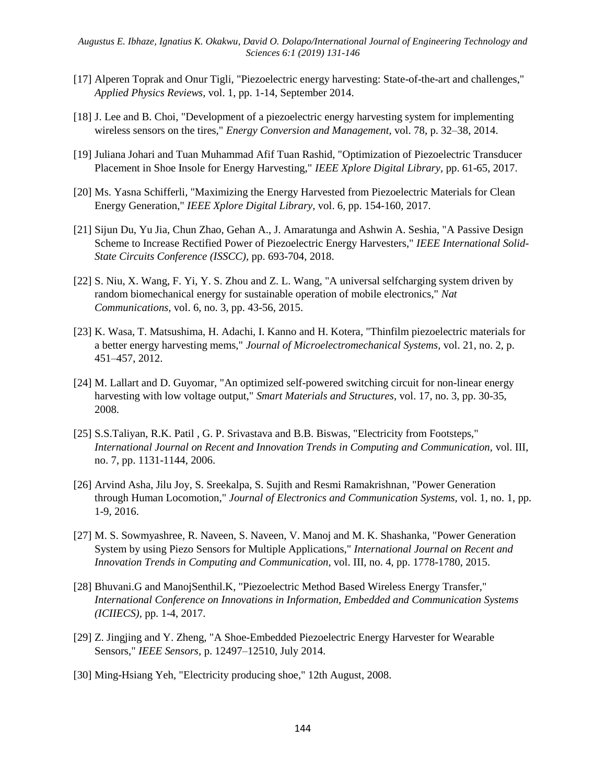- [17] Alperen Toprak and Onur Tigli, "Piezoelectric energy harvesting: State-of-the-art and challenges," *Applied Physics Reviews,* vol. 1, pp. 1-14, September 2014.
- [18] J. Lee and B. Choi, "Development of a piezoelectric energy harvesting system for implementing wireless sensors on the tires," *Energy Conversion and Management,* vol. 78, p. 32–38, 2014.
- [19] Juliana Johari and Tuan Muhammad Afif Tuan Rashid, "Optimization of Piezoelectric Transducer Placement in Shoe Insole for Energy Harvesting," *IEEE Xplore Digital Library,* pp. 61-65, 2017.
- [20] Ms. Yasna Schifferli, "Maximizing the Energy Harvested from Piezoelectric Materials for Clean Energy Generation," *IEEE Xplore Digital Library,* vol. 6, pp. 154-160, 2017.
- [21] Sijun Du, Yu Jia, Chun Zhao, Gehan A., J. Amaratunga and Ashwin A. Seshia, "A Passive Design Scheme to Increase Rectified Power of Piezoelectric Energy Harvesters," *IEEE International Solid-State Circuits Conference (ISSCC),* pp. 693-704, 2018.
- [22] S. Niu, X. Wang, F. Yi, Y. S. Zhou and Z. L. Wang, "A universal selfcharging system driven by random biomechanical energy for sustainable operation of mobile electronics," *Nat Communications,* vol. 6, no. 3, pp. 43-56, 2015.
- [23] K. Wasa, T. Matsushima, H. Adachi, I. Kanno and H. Kotera, "Thinfilm piezoelectric materials for a better energy harvesting mems," *Journal of Microelectromechanical Systems,* vol. 21, no. 2, p. 451–457, 2012.
- [24] M. Lallart and D. Guyomar, "An optimized self-powered switching circuit for non-linear energy harvesting with low voltage output," *Smart Materials and Structures,* vol. 17, no. 3, pp. 30-35, 2008.
- [25] S.S.Taliyan, R.K. Patil , G. P. Srivastava and B.B. Biswas, "Electricity from Footsteps," *International Journal on Recent and Innovation Trends in Computing and Communication,* vol. III, no. 7, pp. 1131-1144, 2006.
- [26] Arvind Asha, Jilu Joy, S. Sreekalpa, S. Sujith and Resmi Ramakrishnan, "Power Generation through Human Locomotion," *Journal of Electronics and Communication Systems,* vol. 1, no. 1, pp. 1-9, 2016.
- [27] M. S. Sowmyashree, R. Naveen, S. Naveen, V. Manoj and M. K. Shashanka, "Power Generation System by using Piezo Sensors for Multiple Applications," *International Journal on Recent and Innovation Trends in Computing and Communication,* vol. III, no. 4, pp. 1778-1780, 2015.
- [28] Bhuvani.G and ManojSenthil.K, "Piezoelectric Method Based Wireless Energy Transfer," *International Conference on Innovations in Information, Embedded and Communication Systems (ICIIECS),* pp. 1-4, 2017.
- [29] Z. Jingjing and Y. Zheng, "A Shoe-Embedded Piezoelectric Energy Harvester for Wearable Sensors," *IEEE Sensors,* p. 12497–12510, July 2014.
- [30] Ming-Hsiang Yeh, "Electricity producing shoe," 12th August, 2008.